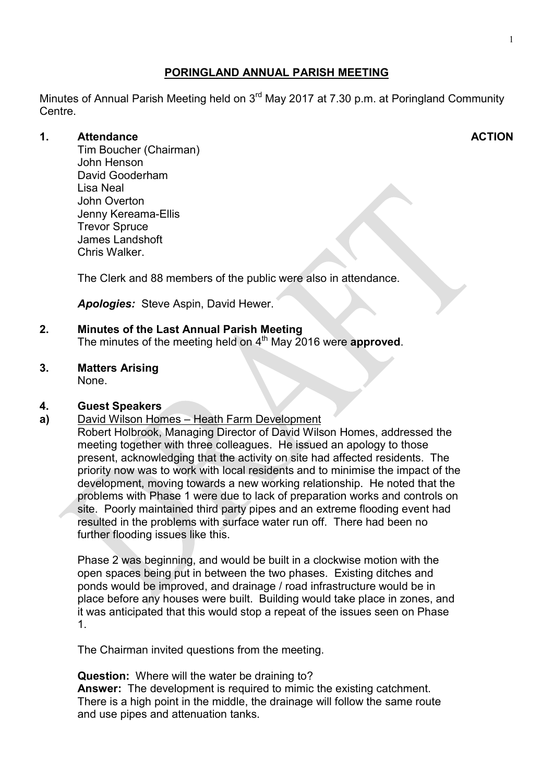# **PORINGLAND ANNUAL PARISH MEETING**

Minutes of Annual Parish Meeting held on 3<sup>rd</sup> May 2017 at 7.30 p.m. at Poringland Community Centre.

#### **1. Attendance**

Tim Boucher (Chairman) John Henson David Gooderham Lisa Neal John Overton Jenny Kereama-Ellis Trevor Spruce James Landshoft Chris Walker.

The Clerk and 88 members of the public were also in attendance.

*Apologies:* Steve Aspin, David Hewer.

# **2. Minutes of the Last Annual Parish Meeting**

The minutes of the meeting held on 4<sup>th</sup> May 2016 were **approved**.

#### **3. Matters Arising**

None.

#### **4. Guest Speakers**

**a)**  David Wilson Homes – Heath Farm Development

Robert Holbrook, Managing Director of David Wilson Homes, addressed the meeting together with three colleagues. He issued an apology to those present, acknowledging that the activity on site had affected residents. The priority now was to work with local residents and to minimise the impact of the development, moving towards a new working relationship. He noted that the problems with Phase 1 were due to lack of preparation works and controls on site. Poorly maintained third party pipes and an extreme flooding event had resulted in the problems with surface water run off. There had been no further flooding issues like this.

Phase 2 was beginning, and would be built in a clockwise motion with the open spaces being put in between the two phases. Existing ditches and ponds would be improved, and drainage / road infrastructure would be in place before any houses were built. Building would take place in zones, and it was anticipated that this would stop a repeat of the issues seen on Phase 1.

The Chairman invited questions from the meeting.

**Question:** Where will the water be draining to?

**Answer:** The development is required to mimic the existing catchment. There is a high point in the middle, the drainage will follow the same route and use pipes and attenuation tanks.

#### **ACTION**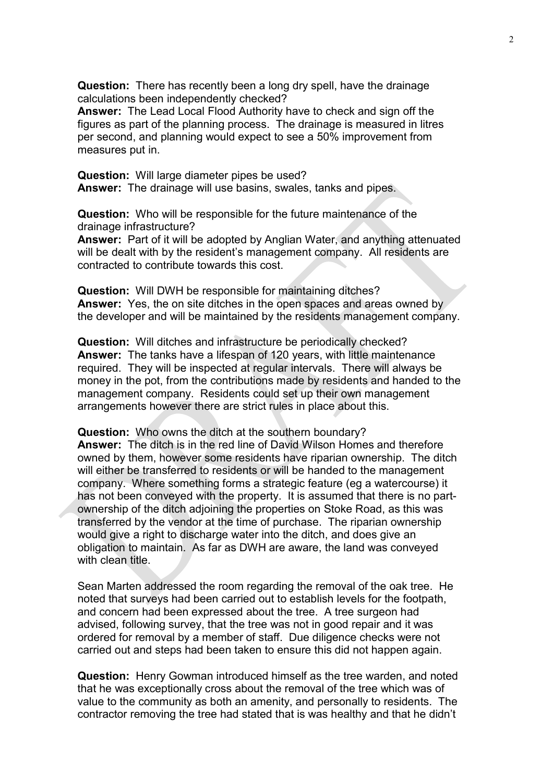**Question:** There has recently been a long dry spell, have the drainage calculations been independently checked?

**Answer:** The Lead Local Flood Authority have to check and sign off the figures as part of the planning process. The drainage is measured in litres per second, and planning would expect to see a 50% improvement from measures put in.

**Question:** Will large diameter pipes be used? **Answer:** The drainage will use basins, swales, tanks and pipes.

**Question:** Who will be responsible for the future maintenance of the drainage infrastructure?

**Answer:** Part of it will be adopted by Anglian Water, and anything attenuated will be dealt with by the resident's management company. All residents are contracted to contribute towards this cost.

**Question:** Will DWH be responsible for maintaining ditches? **Answer:** Yes, the on site ditches in the open spaces and areas owned by the developer and will be maintained by the residents management company.

**Question:** Will ditches and infrastructure be periodically checked? **Answer:** The tanks have a lifespan of 120 years, with little maintenance required. They will be inspected at regular intervals. There will always be money in the pot, from the contributions made by residents and handed to the management company. Residents could set up their own management arrangements however there are strict rules in place about this.

**Question:** Who owns the ditch at the southern boundary? **Answer:** The ditch is in the red line of David Wilson Homes and therefore owned by them, however some residents have riparian ownership. The ditch will either be transferred to residents or will be handed to the management company. Where something forms a strategic feature (eg a watercourse) it has not been conveyed with the property. It is assumed that there is no partownership of the ditch adjoining the properties on Stoke Road, as this was transferred by the vendor at the time of purchase. The riparian ownership would give a right to discharge water into the ditch, and does give an obligation to maintain. As far as DWH are aware, the land was conveyed with clean title.

Sean Marten addressed the room regarding the removal of the oak tree. He noted that surveys had been carried out to establish levels for the footpath, and concern had been expressed about the tree. A tree surgeon had advised, following survey, that the tree was not in good repair and it was ordered for removal by a member of staff. Due diligence checks were not carried out and steps had been taken to ensure this did not happen again.

**Question:** Henry Gowman introduced himself as the tree warden, and noted that he was exceptionally cross about the removal of the tree which was of value to the community as both an amenity, and personally to residents. The contractor removing the tree had stated that is was healthy and that he didn't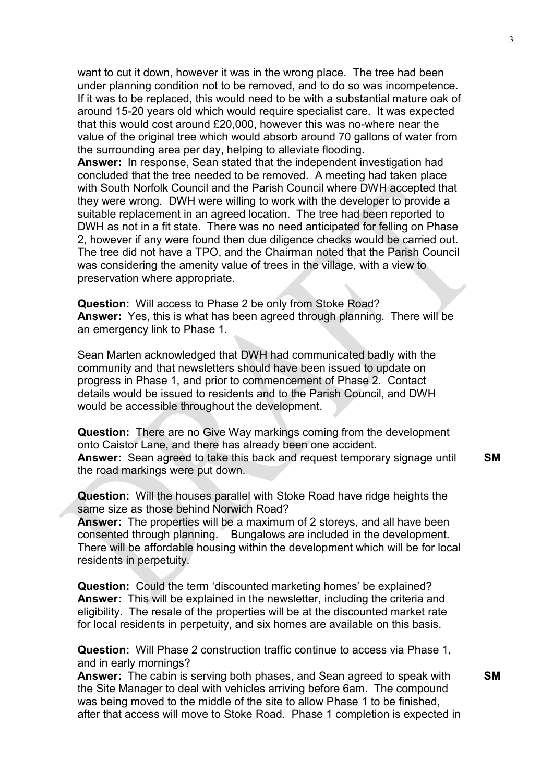want to cut it down, however it was in the wrong place. The tree had been under planning condition not to be removed, and to do so was incompetence. If it was to be replaced, this would need to be with a substantial mature oak of around 15-20 years old which would require specialist care. It was expected that this would cost around £20,000, however this was no-where near the value of the original tree which would absorb around 70 gallons of water from the surrounding area per day, helping to alleviate flooding.

**Answer:** In response, Sean stated that the independent investigation had concluded that the tree needed to be removed. A meeting had taken place with South Norfolk Council and the Parish Council where DWH accepted that they were wrong. DWH were willing to work with the developer to provide a suitable replacement in an agreed location. The tree had been reported to DWH as not in a fit state. There was no need anticipated for felling on Phase 2, however if any were found then due diligence checks would be carried out. The tree did not have a TPO, and the Chairman noted that the Parish Council was considering the amenity value of trees in the village, with a view to preservation where appropriate.

**Question:** Will access to Phase 2 be only from Stoke Road? **Answer:** Yes, this is what has been agreed through planning. There will be an emergency link to Phase 1.

Sean Marten acknowledged that DWH had communicated badly with the community and that newsletters should have been issued to update on progress in Phase 1, and prior to commencement of Phase 2. Contact details would be issued to residents and to the Parish Council, and DWH would be accessible throughout the development.

**Question:** There are no Give Way markings coming from the development onto Caistor Lane, and there has already been one accident. **Answer:** Sean agreed to take this back and request temporary signage until the road markings were put down. **SM** 

**Question:** Will the houses parallel with Stoke Road have ridge heights the same size as those behind Norwich Road?

**Answer:** The properties will be a maximum of 2 storeys, and all have been consented through planning. Bungalows are included in the development. There will be affordable housing within the development which will be for local residents in perpetuity.

**Question:** Could the term 'discounted marketing homes' be explained? **Answer:** This will be explained in the newsletter, including the criteria and eligibility. The resale of the properties will be at the discounted market rate for local residents in perpetuity, and six homes are available on this basis.

**Question:** Will Phase 2 construction traffic continue to access via Phase 1, and in early mornings?

**Answer:** The cabin is serving both phases, and Sean agreed to speak with the Site Manager to deal with vehicles arriving before 6am. The compound was being moved to the middle of the site to allow Phase 1 to be finished, after that access will move to Stoke Road. Phase 1 completion is expected in

**SM**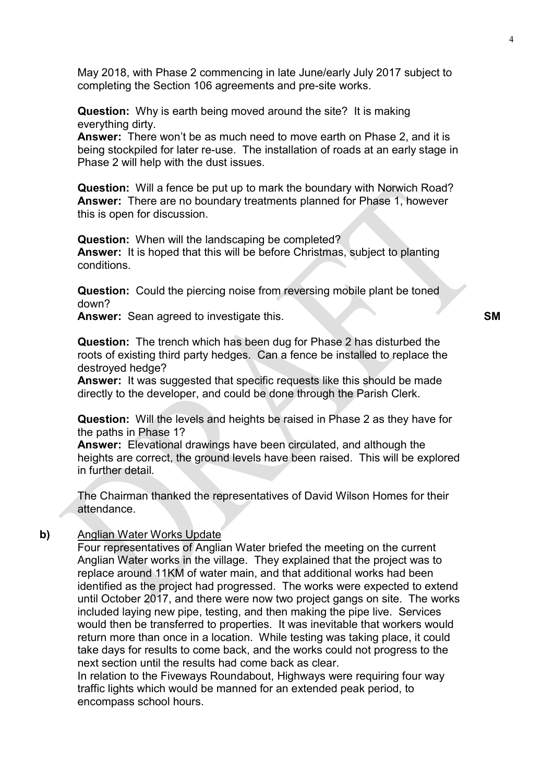May 2018, with Phase 2 commencing in late June/early July 2017 subject to completing the Section 106 agreements and pre-site works.

**Question:** Why is earth being moved around the site? It is making everything dirty.

**Answer:** There won't be as much need to move earth on Phase 2, and it is being stockpiled for later re-use. The installation of roads at an early stage in Phase 2 will help with the dust issues.

**Question:** Will a fence be put up to mark the boundary with Norwich Road? **Answer:** There are no boundary treatments planned for Phase 1, however this is open for discussion.

**Question:** When will the landscaping be completed? **Answer:** It is hoped that this will be before Christmas, subject to planting conditions.

**Question:** Could the piercing noise from reversing mobile plant be toned down?

**Answer:** Sean agreed to investigate this. **SM** 

**Question:** The trench which has been dug for Phase 2 has disturbed the roots of existing third party hedges. Can a fence be installed to replace the destroyed hedge?

**Answer:** It was suggested that specific requests like this should be made directly to the developer, and could be done through the Parish Clerk.

**Question:** Will the levels and heights be raised in Phase 2 as they have for the paths in Phase 1?

**Answer:** Elevational drawings have been circulated, and although the heights are correct, the ground levels have been raised. This will be explored in further detail.

The Chairman thanked the representatives of David Wilson Homes for their attendance.

#### **b)** Anglian Water Works Update

Four representatives of Anglian Water briefed the meeting on the current Anglian Water works in the village. They explained that the project was to replace around 11KM of water main, and that additional works had been identified as the project had progressed. The works were expected to extend until October 2017, and there were now two project gangs on site. The works included laying new pipe, testing, and then making the pipe live. Services would then be transferred to properties. It was inevitable that workers would return more than once in a location. While testing was taking place, it could take days for results to come back, and the works could not progress to the next section until the results had come back as clear.

In relation to the Fiveways Roundabout, Highways were requiring four way traffic lights which would be manned for an extended peak period, to encompass school hours.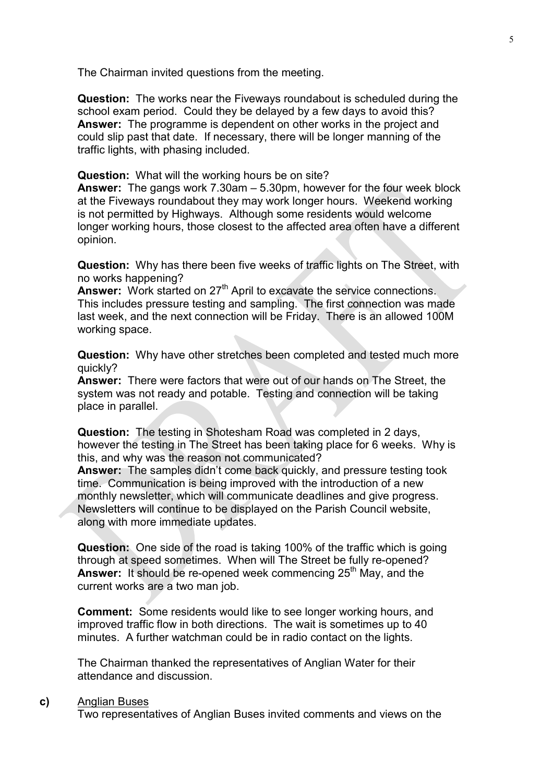The Chairman invited questions from the meeting.

**Question:** The works near the Fiveways roundabout is scheduled during the school exam period. Could they be delayed by a few days to avoid this? **Answer:** The programme is dependent on other works in the project and could slip past that date. If necessary, there will be longer manning of the traffic lights, with phasing included.

**Question:** What will the working hours be on site?

**Answer:** The gangs work 7.30am – 5.30pm, however for the four week block at the Fiveways roundabout they may work longer hours. Weekend working is not permitted by Highways. Although some residents would welcome longer working hours, those closest to the affected area often have a different opinion.

**Question:** Why has there been five weeks of traffic lights on The Street, with no works happening?

Answer: Work started on 27<sup>th</sup> April to excavate the service connections. This includes pressure testing and sampling. The first connection was made last week, and the next connection will be Friday. There is an allowed 100M working space.

**Question:** Why have other stretches been completed and tested much more quickly?

**Answer:** There were factors that were out of our hands on The Street, the system was not ready and potable. Testing and connection will be taking place in parallel.

**Question:** The testing in Shotesham Road was completed in 2 days, however the testing in The Street has been taking place for 6 weeks. Why is this, and why was the reason not communicated?

**Answer:** The samples didn't come back quickly, and pressure testing took time. Communication is being improved with the introduction of a new monthly newsletter, which will communicate deadlines and give progress. Newsletters will continue to be displayed on the Parish Council website, along with more immediate updates.

**Question:** One side of the road is taking 100% of the traffic which is going through at speed sometimes. When will The Street be fully re-opened? **Answer:** It should be re-opened week commencing 25<sup>th</sup> May, and the current works are a two man job.

**Comment:** Some residents would like to see longer working hours, and improved traffic flow in both directions. The wait is sometimes up to 40 minutes. A further watchman could be in radio contact on the lights.

The Chairman thanked the representatives of Anglian Water for their attendance and discussion.

#### **c)** Anglian Buses

Two representatives of Anglian Buses invited comments and views on the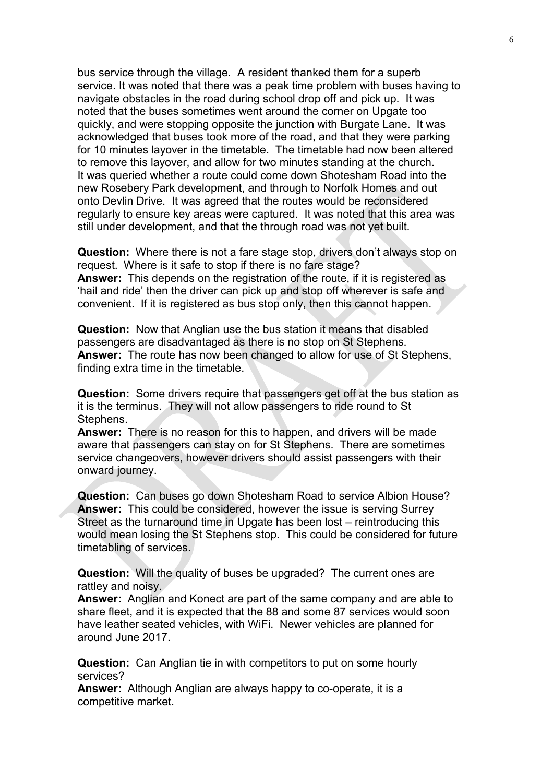bus service through the village. A resident thanked them for a superb service. It was noted that there was a peak time problem with buses having to navigate obstacles in the road during school drop off and pick up. It was noted that the buses sometimes went around the corner on Upgate too quickly, and were stopping opposite the junction with Burgate Lane. It was acknowledged that buses took more of the road, and that they were parking for 10 minutes layover in the timetable. The timetable had now been altered to remove this layover, and allow for two minutes standing at the church. It was queried whether a route could come down Shotesham Road into the new Rosebery Park development, and through to Norfolk Homes and out onto Devlin Drive. It was agreed that the routes would be reconsidered regularly to ensure key areas were captured. It was noted that this area was still under development, and that the through road was not yet built.

**Question:** Where there is not a fare stage stop, drivers don't always stop on request. Where is it safe to stop if there is no fare stage? **Answer:** This depends on the registration of the route, if it is registered as 'hail and ride' then the driver can pick up and stop off wherever is safe and convenient. If it is registered as bus stop only, then this cannot happen.

**Question:** Now that Anglian use the bus station it means that disabled passengers are disadvantaged as there is no stop on St Stephens. **Answer:** The route has now been changed to allow for use of St Stephens, finding extra time in the timetable.

**Question:** Some drivers require that passengers get off at the bus station as it is the terminus. They will not allow passengers to ride round to St Stephens.

**Answer:** There is no reason for this to happen, and drivers will be made aware that passengers can stay on for St Stephens. There are sometimes service changeovers, however drivers should assist passengers with their onward journey.

**Question:** Can buses go down Shotesham Road to service Albion House? **Answer:** This could be considered, however the issue is serving Surrey Street as the turnaround time in Upgate has been lost – reintroducing this would mean losing the St Stephens stop. This could be considered for future timetabling of services.

**Question:** Will the quality of buses be upgraded? The current ones are rattley and noisy.

**Answer:** Anglian and Konect are part of the same company and are able to share fleet, and it is expected that the 88 and some 87 services would soon have leather seated vehicles, with WiFi. Newer vehicles are planned for around June 2017.

**Question:** Can Anglian tie in with competitors to put on some hourly services?

**Answer:** Although Anglian are always happy to co-operate, it is a competitive market.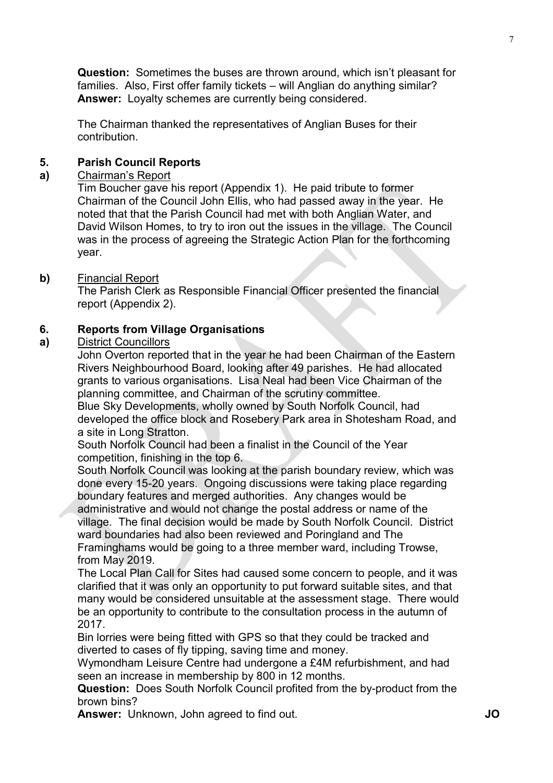**Question:** Sometimes the buses are thrown around, which isn't pleasant for families. Also, First offer family tickets – will Anglian do anything similar? **Answer:** Loyalty schemes are currently being considered.

The Chairman thanked the representatives of Anglian Buses for their contribution.

#### **5. Parish Council Reports**

#### **a)**  Chairman's Report

Tim Boucher gave his report (Appendix 1). He paid tribute to former Chairman of the Council John Ellis, who had passed away in the year. He noted that that the Parish Council had met with both Anglian Water, and David Wilson Homes, to try to iron out the issues in the village. The Council was in the process of agreeing the Strategic Action Plan for the forthcoming year.

#### **b)** Financial Report

The Parish Clerk as Responsible Financial Officer presented the financial report (Appendix 2).

#### **6. Reports from Village Organisations**

#### **a)**  District Councillors

John Overton reported that in the year he had been Chairman of the Eastern Rivers Neighbourhood Board, looking after 49 parishes. He had allocated grants to various organisations. Lisa Neal had been Vice Chairman of the planning committee, and Chairman of the scrutiny committee.

Blue Sky Developments, wholly owned by South Norfolk Council, had developed the office block and Rosebery Park area in Shotesham Road, and a site in Long Stratton.

South Norfolk Council had been a finalist in the Council of the Year competition, finishing in the top 6.

South Norfolk Council was looking at the parish boundary review, which was done every 15-20 years. Ongoing discussions were taking place regarding boundary features and merged authorities. Any changes would be administrative and would not change the postal address or name of the

village. The final decision would be made by South Norfolk Council. District ward boundaries had also been reviewed and Poringland and The Framinghams would be going to a three member ward, including Trowse,

from May 2019.

The Local Plan Call for Sites had caused some concern to people, and it was clarified that it was only an opportunity to put forward suitable sites, and that many would be considered unsuitable at the assessment stage. There would be an opportunity to contribute to the consultation process in the autumn of 2017.

Bin lorries were being fitted with GPS so that they could be tracked and diverted to cases of fly tipping, saving time and money.

Wymondham Leisure Centre had undergone a £4M refurbishment, and had seen an increase in membership by 800 in 12 months.

**Question:** Does South Norfolk Council profited from the by-product from the brown bins?

**Answer:** Unknown, John agreed to find out. **JO**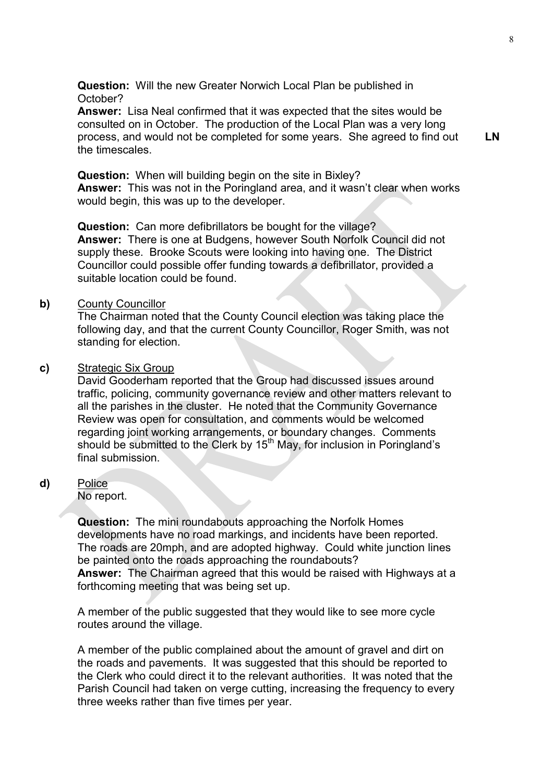**Question:** Will the new Greater Norwich Local Plan be published in October?

**Answer:** Lisa Neal confirmed that it was expected that the sites would be consulted on in October. The production of the Local Plan was a very long process, and would not be completed for some years. She agreed to find out the timescales.

**LN** 

**Question:** When will building begin on the site in Bixley? **Answer:** This was not in the Poringland area, and it wasn't clear when works would begin, this was up to the developer.

**Question:** Can more defibrillators be bought for the village? **Answer:** There is one at Budgens, however South Norfolk Council did not supply these. Brooke Scouts were looking into having one. The District Councillor could possible offer funding towards a defibrillator, provided a suitable location could be found.

#### **b)** County Councillor

The Chairman noted that the County Council election was taking place the following day, and that the current County Councillor, Roger Smith, was not standing for election.

#### **c)** Strategic Six Group

David Gooderham reported that the Group had discussed issues around traffic, policing, community governance review and other matters relevant to all the parishes in the cluster. He noted that the Community Governance Review was open for consultation, and comments would be welcomed regarding joint working arrangements, or boundary changes. Comments should be submitted to the Clerk by 15<sup>th</sup> May, for inclusion in Poringland's final submission.

**d)** Police

No report.

**Question:** The mini roundabouts approaching the Norfolk Homes developments have no road markings, and incidents have been reported. The roads are 20mph, and are adopted highway. Could white junction lines be painted onto the roads approaching the roundabouts? **Answer:** The Chairman agreed that this would be raised with Highways at a forthcoming meeting that was being set up.

A member of the public suggested that they would like to see more cycle routes around the village.

A member of the public complained about the amount of gravel and dirt on the roads and pavements. It was suggested that this should be reported to the Clerk who could direct it to the relevant authorities. It was noted that the Parish Council had taken on verge cutting, increasing the frequency to every three weeks rather than five times per year.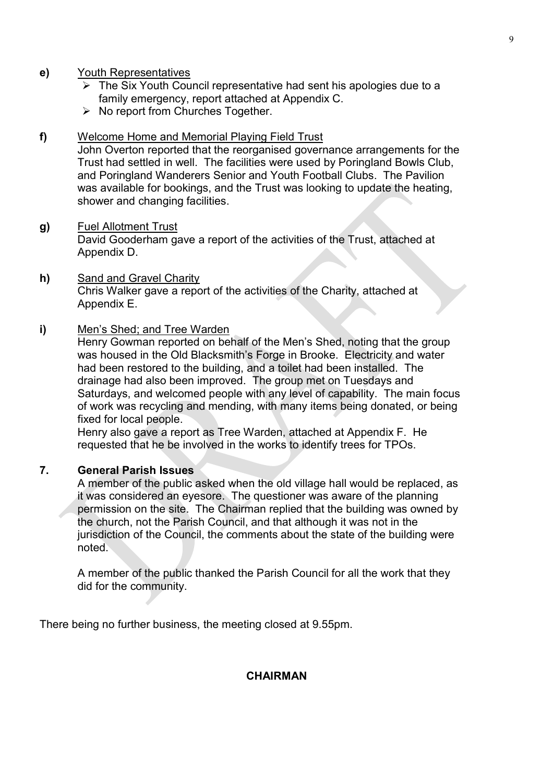#### **e)** Youth Representatives

- $\triangleright$  The Six Youth Council representative had sent his apologies due to a family emergency, report attached at Appendix C.
- $\triangleright$  No report from Churches Together.

#### **f)** Welcome Home and Memorial Playing Field Trust

John Overton reported that the reorganised governance arrangements for the Trust had settled in well. The facilities were used by Poringland Bowls Club, and Poringland Wanderers Senior and Youth Football Clubs. The Pavilion was available for bookings, and the Trust was looking to update the heating, shower and changing facilities.

#### **g)** Fuel Allotment Trust

David Gooderham gave a report of the activities of the Trust, attached at Appendix D.

**h)** Sand and Gravel Charity Chris Walker gave a report of the activities of the Charity, attached at Appendix E.

#### **i)** Men's Shed; and Tree Warden

Henry Gowman reported on behalf of the Men's Shed, noting that the group was housed in the Old Blacksmith's Forge in Brooke. Electricity and water had been restored to the building, and a toilet had been installed. The drainage had also been improved. The group met on Tuesdays and Saturdays, and welcomed people with any level of capability. The main focus of work was recycling and mending, with many items being donated, or being fixed for local people.

Henry also gave a report as Tree Warden, attached at Appendix F. He requested that he be involved in the works to identify trees for TPOs.

#### **7. General Parish Issues**

A member of the public asked when the old village hall would be replaced, as it was considered an eyesore. The questioner was aware of the planning permission on the site. The Chairman replied that the building was owned by the church, not the Parish Council, and that although it was not in the jurisdiction of the Council, the comments about the state of the building were noted.

A member of the public thanked the Parish Council for all the work that they did for the community.

There being no further business, the meeting closed at 9.55pm.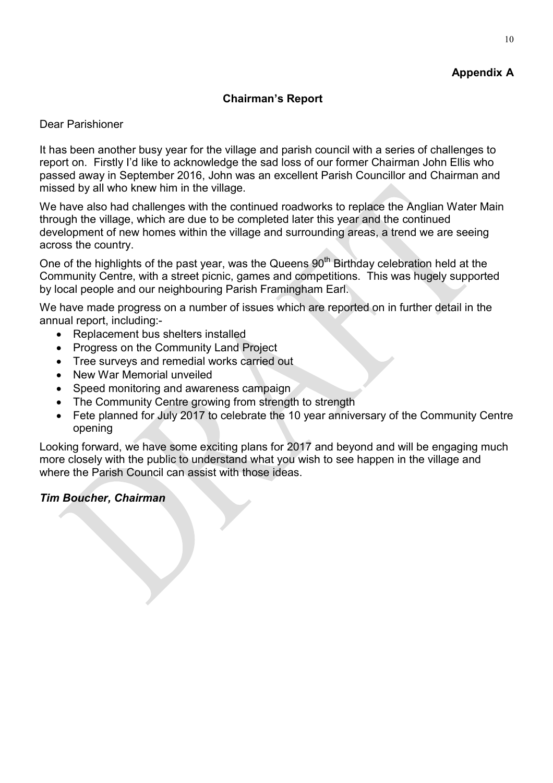# **Appendix A**

### **Chairman's Report**

### Dear Parishioner

It has been another busy year for the village and parish council with a series of challenges to report on. Firstly I'd like to acknowledge the sad loss of our former Chairman John Ellis who passed away in September 2016, John was an excellent Parish Councillor and Chairman and missed by all who knew him in the village.

We have also had challenges with the continued roadworks to replace the Anglian Water Main through the village, which are due to be completed later this year and the continued development of new homes within the village and surrounding areas, a trend we are seeing across the country.

One of the highlights of the past year, was the Queens  $90<sup>th</sup>$  Birthday celebration held at the Community Centre, with a street picnic, games and competitions. This was hugely supported by local people and our neighbouring Parish Framingham Earl.

We have made progress on a number of issues which are reported on in further detail in the annual report, including:-

- Replacement bus shelters installed
- Progress on the Community Land Project
- Tree surveys and remedial works carried out
- New War Memorial unveiled
- Speed monitoring and awareness campaign
- The Community Centre growing from strength to strength
- Fete planned for July 2017 to celebrate the 10 year anniversary of the Community Centre opening

Looking forward, we have some exciting plans for 2017 and beyond and will be engaging much more closely with the public to understand what you wish to see happen in the village and where the Parish Council can assist with those ideas.

# *Tim Boucher, Chairman*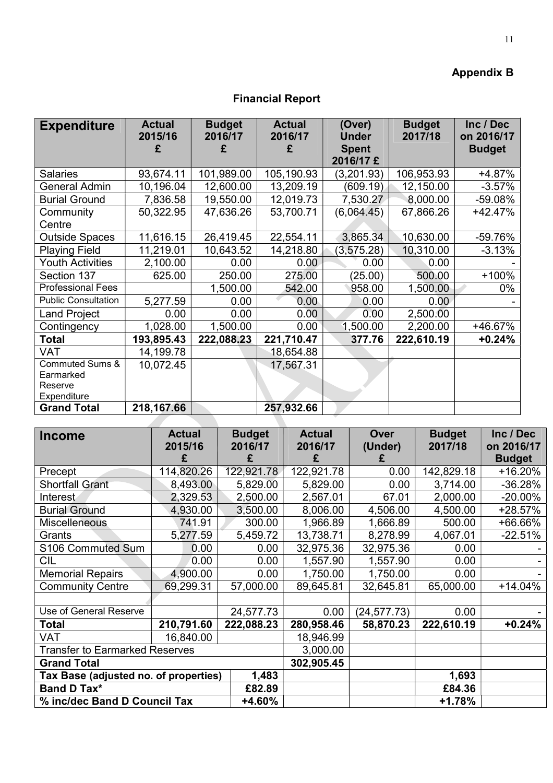# **Appendix B**

# **Financial Report**

| <b>Expenditure</b>         | <b>Actual</b><br>2015/16 | <b>Budget</b><br>2016/17 | <b>Actual</b><br>2016/17 | (Over)<br><b>Under</b> | <b>Budget</b><br>2017/18 | Inc / Dec<br>on 2016/17 |
|----------------------------|--------------------------|--------------------------|--------------------------|------------------------|--------------------------|-------------------------|
|                            | £                        | £                        | £                        | <b>Spent</b>           |                          | <b>Budget</b>           |
|                            |                          |                          |                          | 2016/17 £              |                          |                         |
| <b>Salaries</b>            | 93,674.11                | 101,989.00               | 105,190.93               | (3,201.93)             | 106,953.93               | +4.87%                  |
| <b>General Admin</b>       | 10,196.04                | 12,600.00                | 13,209.19                | (609.19)               | 12,150.00                | $-3.57%$                |
| <b>Burial Ground</b>       | 7,836.58                 | 19,550.00                | 12,019.73                | 7,530.27               | 8,000.00                 | -59.08%                 |
| Community                  | 50,322.95                | 47,636.26                | 53,700.71                | (6,064.45)             | 67,866.26                | $+42.47%$               |
| Centre                     |                          |                          |                          |                        |                          |                         |
| <b>Outside Spaces</b>      | 11,616.15                | 26,419.45                | 22,554.11                | 3,865.34               | 10,630.00                | -59.76%                 |
| <b>Playing Field</b>       | 11,219.01                | 10,643.52                | 14,218.80                | (3, 575.28)            | 10,310.00                | $-3.13%$                |
| <b>Youth Activities</b>    | 2,100.00                 | 0.00                     | 0.00                     | 0.00                   | 0.00                     |                         |
| Section 137                | 625.00                   | 250.00                   | 275.00                   | (25.00)                | 500.00                   | $+100%$                 |
| <b>Professional Fees</b>   |                          | 1,500.00                 | 542.00                   | 958.00                 | 1,500.00                 | 0%                      |
| <b>Public Consultation</b> | 5,277.59                 | 0.00                     | 0.00                     | 0.00                   | 0.00                     |                         |
| <b>Land Project</b>        | 0.00                     | 0.00                     | 0.00                     | 0.00                   | 2,500.00                 |                         |
| Contingency                | 1,028.00                 | 1,500.00                 | 0.00                     | 1,500.00               | 2,200.00                 | +46.67%                 |
| <b>Total</b>               | 193,895.43               | 222,088.23               | 221,710.47               | 377.76                 | 222,610.19               | $+0.24%$                |
| <b>VAT</b>                 | 14,199.78                |                          | 18,654.88                |                        |                          |                         |
| <b>Commuted Sums &amp;</b> | 10,072.45                |                          | 17,567.31                |                        |                          |                         |
| Earmarked                  |                          |                          |                          |                        |                          |                         |
| Reserve                    |                          |                          |                          |                        |                          |                         |
| Expenditure                |                          |                          |                          |                        |                          |                         |
| <b>Grand Total</b>         | 218,167.66               |                          | 257,932.66               |                        |                          |                         |

| Income                                 | <b>Actual</b><br>2015/16 | <b>Budget</b><br>2016/17 | <b>Actual</b><br>2016/17 | Over<br>(Under) | <b>Budget</b><br>2017/18 | Inc / Dec<br>on 2016/17 |
|----------------------------------------|--------------------------|--------------------------|--------------------------|-----------------|--------------------------|-------------------------|
|                                        | £                        | £                        | £                        | £               |                          | <b>Budget</b>           |
| Precept                                | 114,820.26               | 122,921.78               | 122,921.78               | 0.00            | 142,829.18               | +16.20%                 |
| <b>Shortfall Grant</b>                 | 8,493.00                 | 5,829.00                 | 5,829.00                 | 0.00            | 3,714.00                 | $-36.28%$               |
| Interest                               | 2,329.53                 | 2,500.00                 | 2,567.01                 | 67.01           | 2,000.00                 | $-20.00\%$              |
| <b>Burial Ground</b>                   | 4,930.00                 | 3,500.00                 | 8,006.00                 | 4,506.00        | 4,500.00                 | +28.57%                 |
| <b>Miscelleneous</b>                   | 741.91                   | 300.00                   | 1,966.89                 | 1,666.89        | 500.00                   | +66.66%                 |
| Grants                                 | 5,277.59                 | 5,459.72                 | 13,738.71                | 8,278.99        | 4,067.01                 | $-22.51%$               |
| S106 Commuted Sum                      | 0.00                     | 0.00                     | 32,975.36                | 32,975.36       | 0.00                     |                         |
| CIL                                    | 0.00                     | 0.00                     | 1,557.90                 | 1,557.90        | 0.00                     |                         |
| <b>Memorial Repairs</b>                | 4,900.00                 | 0.00                     | 1,750.00                 | 1,750.00        | 0.00                     |                         |
| <b>Community Centre</b>                | 69,299.31                | 57,000.00                | 89,645.81                | 32,645.81       | 65,000.00                | $+14.04%$               |
|                                        |                          |                          |                          |                 |                          |                         |
| Use of General Reserve                 |                          | 24,577.73                | 0.00                     | (24, 577.73)    | 0.00                     |                         |
| Total                                  | 210,791.60               | 222,088.23               | 280,958.46               | 58,870.23       | 222,610.19               | $+0.24%$                |
| <b>VAT</b>                             | 16,840.00                |                          | 18,946.99                |                 |                          |                         |
| <b>Transfer to Earmarked Reserves</b>  | 3,000.00                 |                          |                          |                 |                          |                         |
| <b>Grand Total</b>                     | 302,905.45               |                          |                          |                 |                          |                         |
| Tax Base (adjusted no. of properties)  |                          |                          | 1,693                    |                 |                          |                         |
| <b>Band D Tax*</b><br>£82.89           |                          |                          |                          |                 | £84.36                   |                         |
| % inc/dec Band D Council Tax<br>+4.60% |                          |                          |                          |                 | $+1.78%$                 |                         |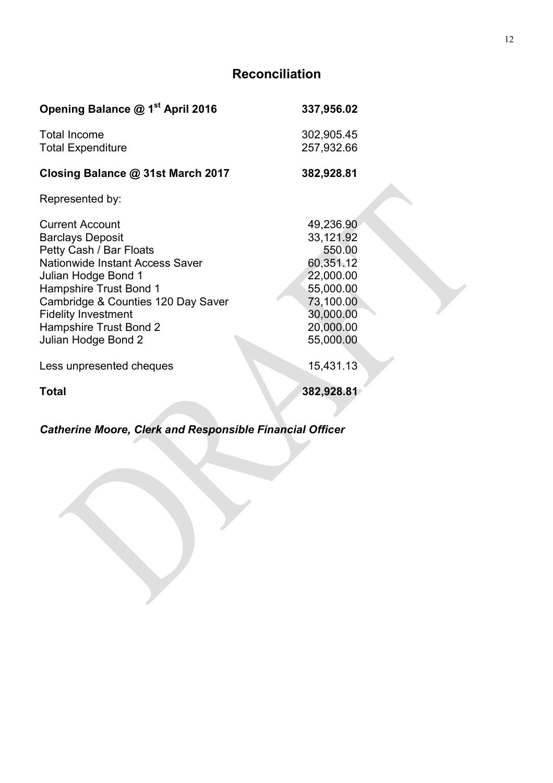# **Reconciliation**

| Opening Balance @ 1 <sup>st</sup> April 2016                                                                                                                                                                                                                                                 | 337,956.02                                                                                                                  |
|----------------------------------------------------------------------------------------------------------------------------------------------------------------------------------------------------------------------------------------------------------------------------------------------|-----------------------------------------------------------------------------------------------------------------------------|
| <b>Total Income</b><br><b>Total Expenditure</b>                                                                                                                                                                                                                                              | 302,905.45<br>257,932.66                                                                                                    |
| Closing Balance @ 31st March 2017                                                                                                                                                                                                                                                            | 382,928.81                                                                                                                  |
| Represented by:                                                                                                                                                                                                                                                                              |                                                                                                                             |
| <b>Current Account</b><br><b>Barclays Deposit</b><br>Petty Cash / Bar Floats<br><b>Nationwide Instant Access Saver</b><br>Julian Hodge Bond 1<br>Hampshire Trust Bond 1<br>Cambridge & Counties 120 Day Saver<br><b>Fidelity Investment</b><br>Hampshire Trust Bond 2<br>Julian Hodge Bond 2 | 49,236.90<br>33,121.92<br>550.00<br>60,351.12<br>22,000.00<br>55,000.00<br>73,100.00<br>30,000.00<br>20,000.00<br>55,000.00 |
| Less unpresented cheques                                                                                                                                                                                                                                                                     | 15,431.13                                                                                                                   |
| <b>Total</b>                                                                                                                                                                                                                                                                                 | 382,928.81                                                                                                                  |

*Catherine Moore, Clerk and Responsible Financial Officer*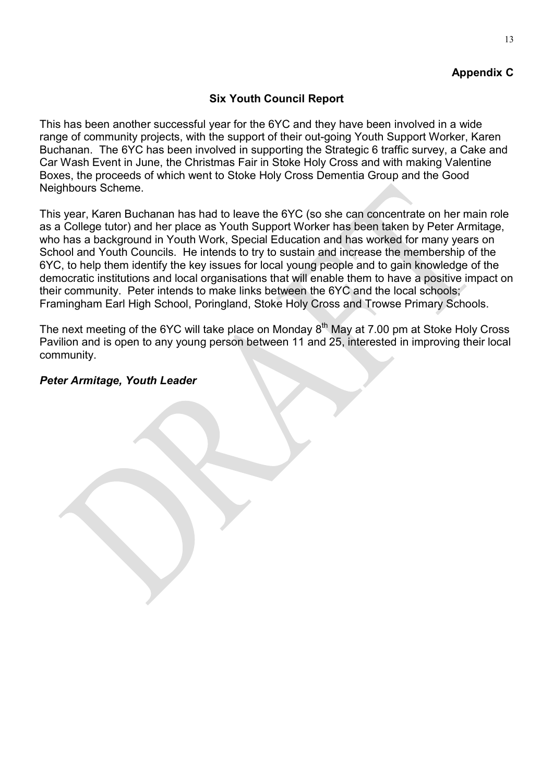# **Appendix C**

# **Six Youth Council Report**

This has been another successful year for the 6YC and they have been involved in a wide range of community projects, with the support of their out-going Youth Support Worker, Karen Buchanan. The 6YC has been involved in supporting the Strategic 6 traffic survey, a Cake and Car Wash Event in June, the Christmas Fair in Stoke Holy Cross and with making Valentine Boxes, the proceeds of which went to Stoke Holy Cross Dementia Group and the Good Neighbours Scheme.

This year, Karen Buchanan has had to leave the 6YC (so she can concentrate on her main role as a College tutor) and her place as Youth Support Worker has been taken by Peter Armitage, who has a background in Youth Work, Special Education and has worked for many years on School and Youth Councils. He intends to try to sustain and increase the membership of the 6YC, to help them identify the key issues for local young people and to gain knowledge of the democratic institutions and local organisations that will enable them to have a positive impact on their community. Peter intends to make links between the 6YC and the local schools; Framingham Earl High School, Poringland, Stoke Holy Cross and Trowse Primary Schools.

The next meeting of the 6YC will take place on Monday  $8<sup>th</sup>$  May at 7.00 pm at Stoke Holy Cross Pavilion and is open to any young person between 11 and 25, interested in improving their local community.

# *Peter Armitage, Youth Leader*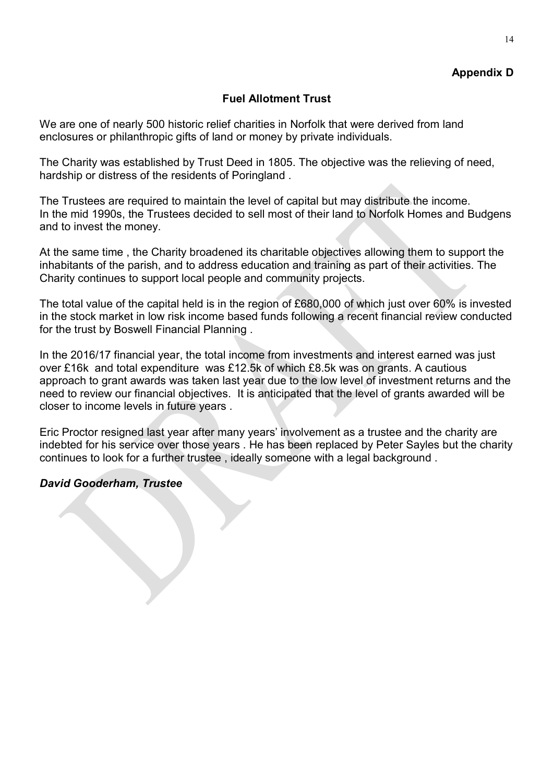# **Appendix D**

### **Fuel Allotment Trust**

We are one of nearly 500 historic relief charities in Norfolk that were derived from land enclosures or philanthropic gifts of land or money by private individuals.

The Charity was established by Trust Deed in 1805. The objective was the relieving of need, hardship or distress of the residents of Poringland .

The Trustees are required to maintain the level of capital but may distribute the income. In the mid 1990s, the Trustees decided to sell most of their land to Norfolk Homes and Budgens and to invest the money.

At the same time , the Charity broadened its charitable objectives allowing them to support the inhabitants of the parish, and to address education and training as part of their activities. The Charity continues to support local people and community projects.

The total value of the capital held is in the region of £680,000 of which just over 60% is invested in the stock market in low risk income based funds following a recent financial review conducted for the trust by Boswell Financial Planning .

In the 2016/17 financial year, the total income from investments and interest earned was just over £16k and total expenditure was £12.5k of which £8.5k was on grants. A cautious approach to grant awards was taken last year due to the low level of investment returns and the need to review our financial objectives. It is anticipated that the level of grants awarded will be closer to income levels in future years .

Eric Proctor resigned last year after many years' involvement as a trustee and the charity are indebted for his service over those years . He has been replaced by Peter Sayles but the charity continues to look for a further trustee , ideally someone with a legal background .

#### *David Gooderham, Trustee*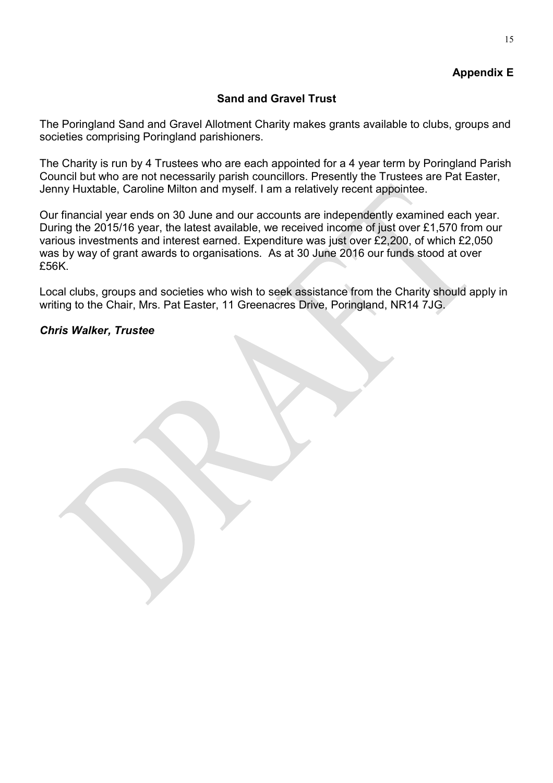# **Appendix E**

# **Sand and Gravel Trust**

The Poringland Sand and Gravel Allotment Charity makes grants available to clubs, groups and societies comprising Poringland parishioners.

The Charity is run by 4 Trustees who are each appointed for a 4 year term by Poringland Parish Council but who are not necessarily parish councillors. Presently the Trustees are Pat Easter, Jenny Huxtable, Caroline Milton and myself. I am a relatively recent appointee.

Our financial year ends on 30 June and our accounts are independently examined each year. During the 2015/16 year, the latest available, we received income of just over £1,570 from our various investments and interest earned. Expenditure was just over £2,200, of which £2,050 was by way of grant awards to organisations. As at 30 June 2016 our funds stood at over £56K.

Local clubs, groups and societies who wish to seek assistance from the Charity should apply in writing to the Chair, Mrs. Pat Easter, 11 Greenacres Drive, Poringland, NR14 7JG.

### *Chris Walker, Trustee*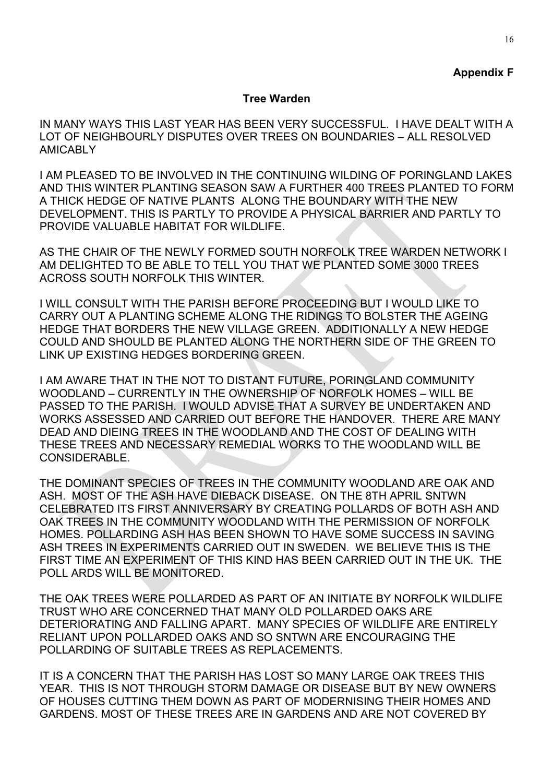### **Appendix F**

#### **Tree Warden**

IN MANY WAYS THIS LAST YEAR HAS BEEN VERY SUCCESSFUL. I HAVE DEALT WITH A LOT OF NEIGHBOURLY DISPUTES OVER TREES ON BOUNDARIES – ALL RESOLVED AMICABLY

I AM PLEASED TO BE INVOLVED IN THE CONTINUING WILDING OF PORINGLAND LAKES AND THIS WINTER PLANTING SEASON SAW A FURTHER 400 TREES PLANTED TO FORM A THICK HEDGE OF NATIVE PLANTS ALONG THE BOUNDARY WITH THE NEW DEVELOPMENT. THIS IS PARTLY TO PROVIDE A PHYSICAL BARRIER AND PARTLY TO PROVIDE VALUABLE HABITAT FOR WILDLIFE.

AS THE CHAIR OF THE NEWLY FORMED SOUTH NORFOLK TREE WARDEN NETWORK I AM DELIGHTED TO BE ABLE TO TELL YOU THAT WE PLANTED SOME 3000 TREES ACROSS SOUTH NORFOLK THIS WINTER.

I WILL CONSULT WITH THE PARISH BEFORE PROCEEDING BUT I WOULD LIKE TO CARRY OUT A PLANTING SCHEME ALONG THE RIDINGS TO BOLSTER THE AGEING HEDGE THAT BORDERS THE NEW VILLAGE GREEN. ADDITIONALLY A NEW HEDGE COULD AND SHOULD BE PLANTED ALONG THE NORTHERN SIDE OF THE GREEN TO LINK UP EXISTING HEDGES BORDERING GREEN.

I AM AWARE THAT IN THE NOT TO DISTANT FUTURE, PORINGLAND COMMUNITY WOODLAND – CURRENTLY IN THE OWNERSHIP OF NORFOLK HOMES – WILL BE PASSED TO THE PARISH. I WOULD ADVISE THAT A SURVEY BE UNDERTAKEN AND WORKS ASSESSED AND CARRIED OUT BEFORE THE HANDOVER. THERE ARE MANY DEAD AND DIEING TREES IN THE WOODLAND AND THE COST OF DEALING WITH THESE TREES AND NECESSARY REMEDIAL WORKS TO THE WOODLAND WILL BE CONSIDERABLE.

THE DOMINANT SPECIES OF TREES IN THE COMMUNITY WOODLAND ARE OAK AND ASH. MOST OF THE ASH HAVE DIEBACK DISEASE. ON THE 8TH APRIL SNTWN CELEBRATED ITS FIRST ANNIVERSARY BY CREATING POLLARDS OF BOTH ASH AND OAK TREES IN THE COMMUNITY WOODLAND WITH THE PERMISSION OF NORFOLK HOMES. POLLARDING ASH HAS BEEN SHOWN TO HAVE SOME SUCCESS IN SAVING ASH TREES IN EXPERIMENTS CARRIED OUT IN SWEDEN. WE BELIEVE THIS IS THE FIRST TIME AN EXPERIMENT OF THIS KIND HAS BEEN CARRIED OUT IN THE UK. THE POLL ARDS WILL BE MONITORED.

THE OAK TREES WERE POLLARDED AS PART OF AN INITIATE BY NORFOLK WILDLIFE TRUST WHO ARE CONCERNED THAT MANY OLD POLLARDED OAKS ARE DETERIORATING AND FALLING APART. MANY SPECIES OF WILDLIFE ARE ENTIRELY RELIANT UPON POLLARDED OAKS AND SO SNTWN ARE ENCOURAGING THE POLLARDING OF SUITABLE TREES AS REPLACEMENTS.

IT IS A CONCERN THAT THE PARISH HAS LOST SO MANY LARGE OAK TREES THIS YEAR. THIS IS NOT THROUGH STORM DAMAGE OR DISEASE BUT BY NEW OWNERS OF HOUSES CUTTING THEM DOWN AS PART OF MODERNISING THEIR HOMES AND GARDENS. MOST OF THESE TREES ARE IN GARDENS AND ARE NOT COVERED BY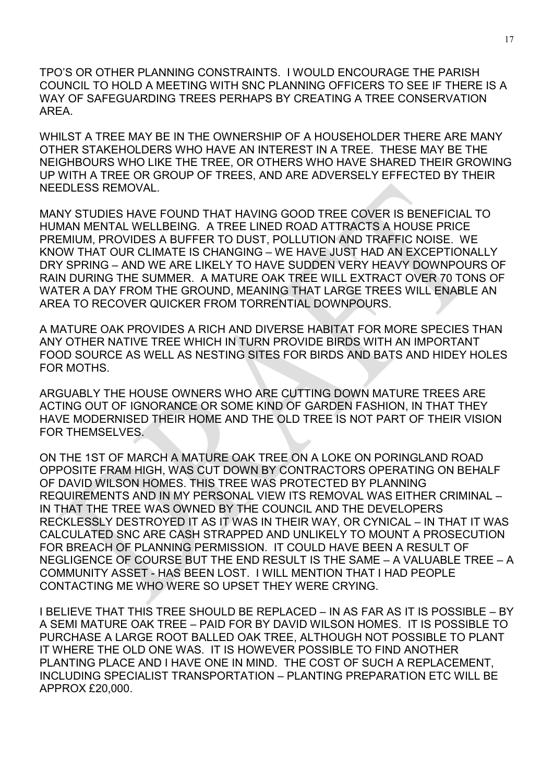TPO'S OR OTHER PLANNING CONSTRAINTS. I WOULD ENCOURAGE THE PARISH COUNCIL TO HOLD A MEETING WITH SNC PLANNING OFFICERS TO SEE IF THERE IS A WAY OF SAFEGUARDING TREES PERHAPS BY CREATING A TREE CONSERVATION AREA.

WHILST A TREE MAY BE IN THE OWNERSHIP OF A HOUSEHOLDER THERE ARE MANY OTHER STAKEHOLDERS WHO HAVE AN INTEREST IN A TREE. THESE MAY BE THE NEIGHBOURS WHO LIKE THE TREE, OR OTHERS WHO HAVE SHARED THEIR GROWING UP WITH A TREE OR GROUP OF TREES, AND ARE ADVERSELY EFFECTED BY THEIR NEEDLESS REMOVAL.

MANY STUDIES HAVE FOUND THAT HAVING GOOD TREE COVER IS BENEFICIAL TO HUMAN MENTAL WELLBEING. A TREE LINED ROAD ATTRACTS A HOUSE PRICE PREMIUM, PROVIDES A BUFFER TO DUST, POLLUTION AND TRAFFIC NOISE. WE KNOW THAT OUR CLIMATE IS CHANGING – WE HAVE JUST HAD AN EXCEPTIONALLY DRY SPRING – AND WE ARE LIKELY TO HAVE SUDDEN VERY HEAVY DOWNPOURS OF RAIN DURING THE SUMMER. A MATURE OAK TREE WILL EXTRACT OVER 70 TONS OF WATER A DAY FROM THE GROUND, MEANING THAT LARGE TREES WILL ENABLE AN AREA TO RECOVER QUICKER FROM TORRENTIAL DOWNPOURS.

A MATURE OAK PROVIDES A RICH AND DIVERSE HABITAT FOR MORE SPECIES THAN ANY OTHER NATIVE TREE WHICH IN TURN PROVIDE BIRDS WITH AN IMPORTANT FOOD SOURCE AS WELL AS NESTING SITES FOR BIRDS AND BATS AND HIDEY HOLES FOR MOTHS.

ARGUABLY THE HOUSE OWNERS WHO ARE CUTTING DOWN MATURE TREES ARE ACTING OUT OF IGNORANCE OR SOME KIND OF GARDEN FASHION, IN THAT THEY HAVE MODERNISED THEIR HOME AND THE OLD TREE IS NOT PART OF THEIR VISION FOR THEMSELVES.

ON THE 1ST OF MARCH A MATURE OAK TREE ON A LOKE ON PORINGLAND ROAD OPPOSITE FRAM HIGH, WAS CUT DOWN BY CONTRACTORS OPERATING ON BEHALF OF DAVID WILSON HOMES. THIS TREE WAS PROTECTED BY PLANNING REQUIREMENTS AND IN MY PERSONAL VIEW ITS REMOVAL WAS EITHER CRIMINAL – IN THAT THE TREE WAS OWNED BY THE COUNCIL AND THE DEVELOPERS RECKLESSLY DESTROYED IT AS IT WAS IN THEIR WAY, OR CYNICAL – IN THAT IT WAS CALCULATED SNC ARE CASH STRAPPED AND UNLIKELY TO MOUNT A PROSECUTION FOR BREACH OF PLANNING PERMISSION. IT COULD HAVE BEEN A RESULT OF NEGLIGENCE OF COURSE BUT THE END RESULT IS THE SAME – A VALUABLE TREE – A COMMUNITY ASSET - HAS BEEN LOST. I WILL MENTION THAT I HAD PEOPLE CONTACTING ME WHO WERE SO UPSET THEY WERE CRYING.

I BELIEVE THAT THIS TREE SHOULD BE REPLACED – IN AS FAR AS IT IS POSSIBLE – BY A SEMI MATURE OAK TREE – PAID FOR BY DAVID WILSON HOMES. IT IS POSSIBLE TO PURCHASE A LARGE ROOT BALLED OAK TREE, ALTHOUGH NOT POSSIBLE TO PLANT IT WHERE THE OLD ONE WAS. IT IS HOWEVER POSSIBLE TO FIND ANOTHER PLANTING PLACE AND I HAVE ONE IN MIND. THE COST OF SUCH A REPLACEMENT, INCLUDING SPECIALIST TRANSPORTATION – PLANTING PREPARATION ETC WILL BE APPROX £20,000.